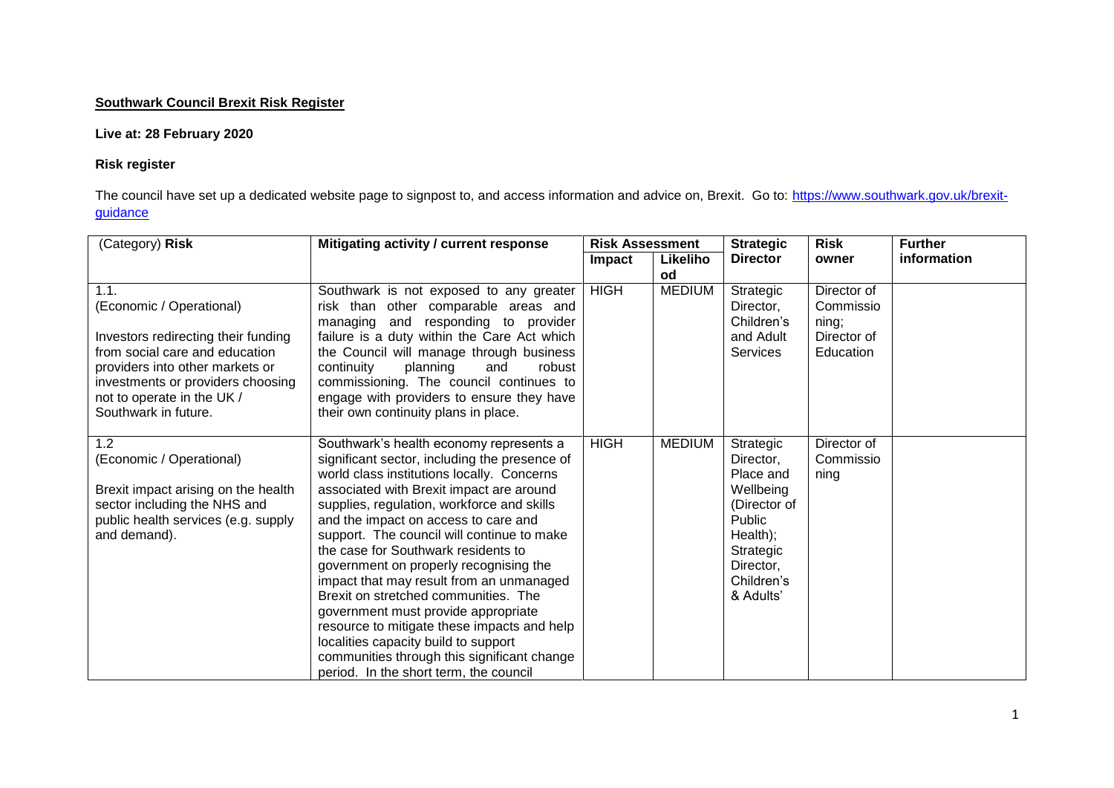## **Southwark Council Brexit Risk Register**

## **Live at: 28 February 2020**

## **Risk register**

The council have set up a dedicated website page to signpost to, and access information and advice on, Brexit. Go to: [https://www.southwark.gov.uk/brexit](https://www.southwark.gov.uk/brexit-guidance)[guidance](https://www.southwark.gov.uk/brexit-guidance)

| (Category) Risk                                                                                                                                                                                                                         | Mitigating activity / current response                                                                                                                                                                                                                                                                                                                                                                                                                                                                                                                                                                                                                                                                             | <b>Risk Assessment</b> |                | <b>Strategic</b>                                                                                                                            | <b>Risk</b>                                                   | <b>Further</b> |
|-----------------------------------------------------------------------------------------------------------------------------------------------------------------------------------------------------------------------------------------|--------------------------------------------------------------------------------------------------------------------------------------------------------------------------------------------------------------------------------------------------------------------------------------------------------------------------------------------------------------------------------------------------------------------------------------------------------------------------------------------------------------------------------------------------------------------------------------------------------------------------------------------------------------------------------------------------------------------|------------------------|----------------|---------------------------------------------------------------------------------------------------------------------------------------------|---------------------------------------------------------------|----------------|
|                                                                                                                                                                                                                                         |                                                                                                                                                                                                                                                                                                                                                                                                                                                                                                                                                                                                                                                                                                                    | <b>Impact</b>          | Likeliho<br>od | <b>Director</b>                                                                                                                             | owner                                                         | information    |
| 1.1.<br>(Economic / Operational)<br>Investors redirecting their funding<br>from social care and education<br>providers into other markets or<br>investments or providers choosing<br>not to operate in the UK /<br>Southwark in future. | Southwark is not exposed to any greater<br>risk than other comparable areas and<br>managing and responding to provider<br>failure is a duty within the Care Act which<br>the Council will manage through business<br>continuity<br>planning<br>and<br>robust<br>commissioning. The council continues to<br>engage with providers to ensure they have<br>their own continuity plans in place.                                                                                                                                                                                                                                                                                                                       | <b>HIGH</b>            | <b>MEDIUM</b>  | Strategic<br>Director,<br>Children's<br>and Adult<br><b>Services</b>                                                                        | Director of<br>Commissio<br>ning;<br>Director of<br>Education |                |
| 1.2<br>(Economic / Operational)<br>Brexit impact arising on the health<br>sector including the NHS and<br>public health services (e.g. supply<br>and demand).                                                                           | Southwark's health economy represents a<br>significant sector, including the presence of<br>world class institutions locally. Concerns<br>associated with Brexit impact are around<br>supplies, regulation, workforce and skills<br>and the impact on access to care and<br>support. The council will continue to make<br>the case for Southwark residents to<br>government on properly recognising the<br>impact that may result from an unmanaged<br>Brexit on stretched communities. The<br>government must provide appropriate<br>resource to mitigate these impacts and help<br>localities capacity build to support<br>communities through this significant change<br>period. In the short term, the council | <b>HIGH</b>            | <b>MEDIUM</b>  | Strategic<br>Director,<br>Place and<br>Wellbeing<br>(Director of<br>Public<br>Health);<br>Strategic<br>Director,<br>Children's<br>& Adults' | Director of<br>Commissio<br>ning                              |                |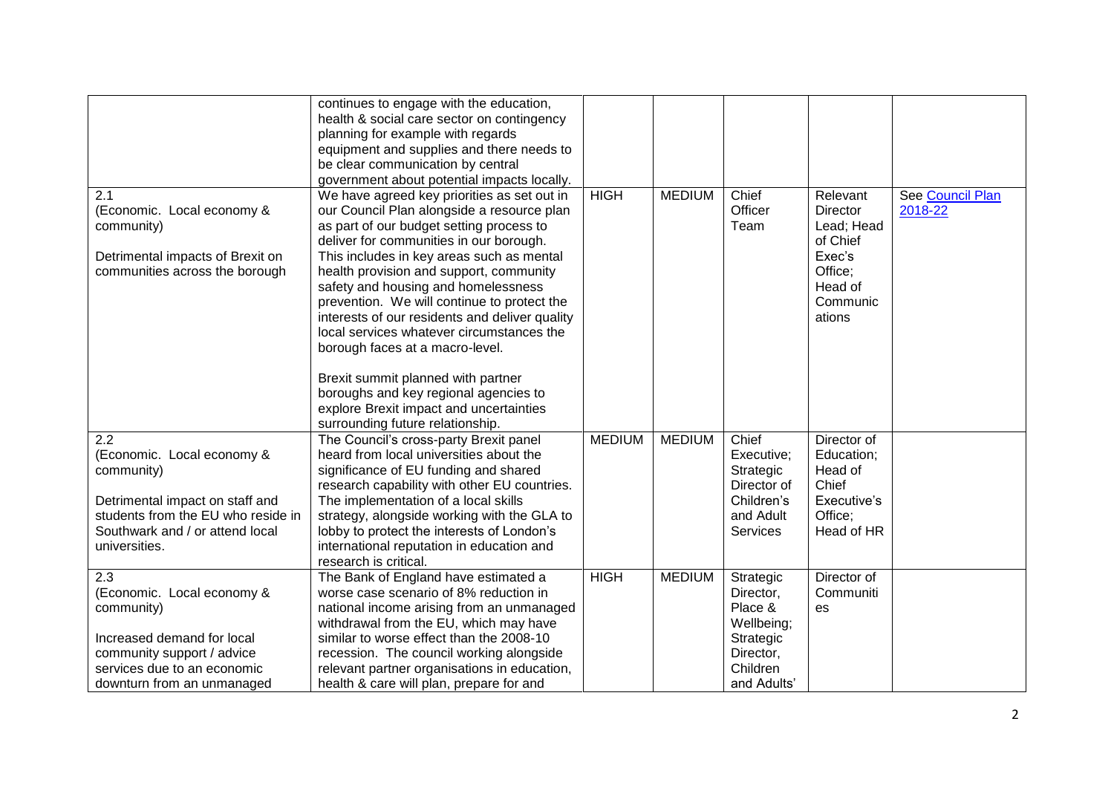|                                    | continues to engage with the education,        |               |               |                 |                 |                  |
|------------------------------------|------------------------------------------------|---------------|---------------|-----------------|-----------------|------------------|
|                                    | health & social care sector on contingency     |               |               |                 |                 |                  |
|                                    | planning for example with regards              |               |               |                 |                 |                  |
|                                    | equipment and supplies and there needs to      |               |               |                 |                 |                  |
|                                    | be clear communication by central              |               |               |                 |                 |                  |
|                                    | government about potential impacts locally.    |               |               |                 |                 |                  |
| 2.1                                | We have agreed key priorities as set out in    | <b>HIGH</b>   | <b>MEDIUM</b> | Chief           | Relevant        | See Council Plan |
| (Economic. Local economy &         | our Council Plan alongside a resource plan     |               |               | Officer         | <b>Director</b> | 2018-22          |
| community)                         | as part of our budget setting process to       |               |               | Team            | Lead; Head      |                  |
|                                    | deliver for communities in our borough.        |               |               |                 | of Chief        |                  |
| Detrimental impacts of Brexit on   | This includes in key areas such as mental      |               |               |                 | Exec's          |                  |
| communities across the borough     | health provision and support, community        |               |               |                 | Office:         |                  |
|                                    | safety and housing and homelessness            |               |               |                 | Head of         |                  |
|                                    | prevention. We will continue to protect the    |               |               |                 | Communic        |                  |
|                                    | interests of our residents and deliver quality |               |               |                 | ations          |                  |
|                                    | local services whatever circumstances the      |               |               |                 |                 |                  |
|                                    |                                                |               |               |                 |                 |                  |
|                                    | borough faces at a macro-level.                |               |               |                 |                 |                  |
|                                    | Brexit summit planned with partner             |               |               |                 |                 |                  |
|                                    | boroughs and key regional agencies to          |               |               |                 |                 |                  |
|                                    | explore Brexit impact and uncertainties        |               |               |                 |                 |                  |
|                                    |                                                |               |               |                 |                 |                  |
|                                    | surrounding future relationship.               |               |               |                 |                 |                  |
| 2.2                                | The Council's cross-party Brexit panel         | <b>MEDIUM</b> | <b>MEDIUM</b> | Chief           | Director of     |                  |
| (Economic. Local economy &         | heard from local universities about the        |               |               | Executive;      | Education;      |                  |
| community)                         | significance of EU funding and shared          |               |               | Strategic       | Head of         |                  |
|                                    | research capability with other EU countries.   |               |               | Director of     | Chief           |                  |
| Detrimental impact on staff and    | The implementation of a local skills           |               |               | Children's      | Executive's     |                  |
| students from the EU who reside in | strategy, alongside working with the GLA to    |               |               | and Adult       | Office:         |                  |
| Southwark and / or attend local    | lobby to protect the interests of London's     |               |               | <b>Services</b> | Head of HR      |                  |
| universities.                      | international reputation in education and      |               |               |                 |                 |                  |
|                                    | research is critical.                          |               |               |                 |                 |                  |
| 2.3                                | The Bank of England have estimated a           | <b>HIGH</b>   | <b>MEDIUM</b> | Strategic       | Director of     |                  |
| (Economic. Local economy &         | worse case scenario of 8% reduction in         |               |               | Director,       | Communiti       |                  |
| community)                         | national income arising from an unmanaged      |               |               | Place &         | es              |                  |
|                                    | withdrawal from the EU, which may have         |               |               | Wellbeing;      |                 |                  |
| Increased demand for local         | similar to worse effect than the 2008-10       |               |               | Strategic       |                 |                  |
| community support / advice         | recession. The council working alongside       |               |               | Director,       |                 |                  |
| services due to an economic        | relevant partner organisations in education,   |               |               | Children        |                 |                  |
| downturn from an unmanaged         | health & care will plan, prepare for and       |               |               | and Adults'     |                 |                  |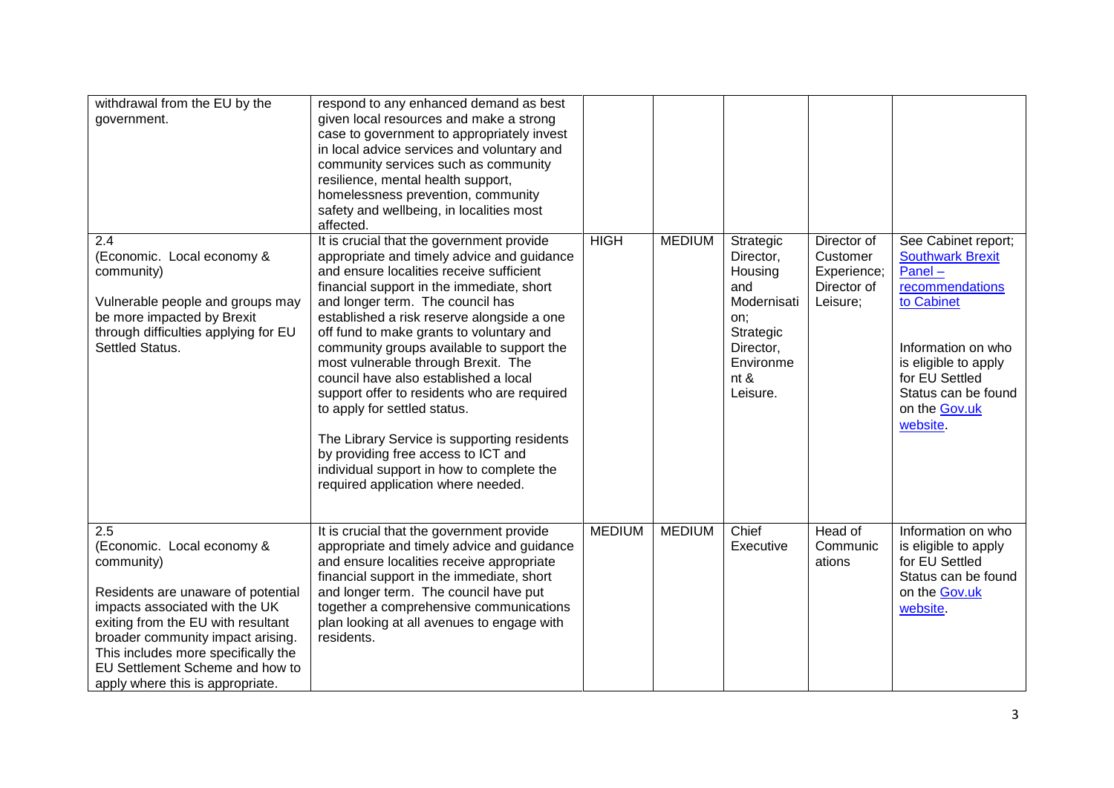| withdrawal from the EU by the<br>government.                                                                                                                                                                                                                                                                     | respond to any enhanced demand as best<br>given local resources and make a strong<br>case to government to appropriately invest<br>in local advice services and voluntary and<br>community services such as community<br>resilience, mental health support,<br>homelessness prevention, community<br>safety and wellbeing, in localities most<br>affected.                                                                                                                                                                                                                                                                                                                                          |               |               |                                                                                                                           |                                                                   |                                                                                                                                                                                                               |
|------------------------------------------------------------------------------------------------------------------------------------------------------------------------------------------------------------------------------------------------------------------------------------------------------------------|-----------------------------------------------------------------------------------------------------------------------------------------------------------------------------------------------------------------------------------------------------------------------------------------------------------------------------------------------------------------------------------------------------------------------------------------------------------------------------------------------------------------------------------------------------------------------------------------------------------------------------------------------------------------------------------------------------|---------------|---------------|---------------------------------------------------------------------------------------------------------------------------|-------------------------------------------------------------------|---------------------------------------------------------------------------------------------------------------------------------------------------------------------------------------------------------------|
| 2.4<br>(Economic. Local economy &<br>community)<br>Vulnerable people and groups may<br>be more impacted by Brexit<br>through difficulties applying for EU<br>Settled Status.                                                                                                                                     | It is crucial that the government provide<br>appropriate and timely advice and guidance<br>and ensure localities receive sufficient<br>financial support in the immediate, short<br>and longer term. The council has<br>established a risk reserve alongside a one<br>off fund to make grants to voluntary and<br>community groups available to support the<br>most vulnerable through Brexit. The<br>council have also established a local<br>support offer to residents who are required<br>to apply for settled status.<br>The Library Service is supporting residents<br>by providing free access to ICT and<br>individual support in how to complete the<br>required application where needed. | <b>HIGH</b>   | <b>MEDIUM</b> | Strategic<br>Director,<br>Housing<br>and<br>Modernisati<br>on;<br>Strategic<br>Director,<br>Environme<br>nt &<br>Leisure. | Director of<br>Customer<br>Experience;<br>Director of<br>Leisure; | See Cabinet report;<br><b>Southwark Brexit</b><br>Panel-<br>recommendations<br>to Cabinet<br>Information on who<br>is eligible to apply<br>for EU Settled<br>Status can be found<br>on the Gov.uk<br>website. |
| 2.5<br>(Economic. Local economy &<br>community)<br>Residents are unaware of potential<br>impacts associated with the UK<br>exiting from the EU with resultant<br>broader community impact arising.<br>This includes more specifically the<br>EU Settlement Scheme and how to<br>apply where this is appropriate. | It is crucial that the government provide<br>appropriate and timely advice and guidance<br>and ensure localities receive appropriate<br>financial support in the immediate, short<br>and longer term. The council have put<br>together a comprehensive communications<br>plan looking at all avenues to engage with<br>residents.                                                                                                                                                                                                                                                                                                                                                                   | <b>MEDIUM</b> | <b>MEDIUM</b> | Chief<br>Executive                                                                                                        | Head of<br>Communic<br>ations                                     | Information on who<br>is eligible to apply<br>for EU Settled<br>Status can be found<br>on the Gov.uk<br>website.                                                                                              |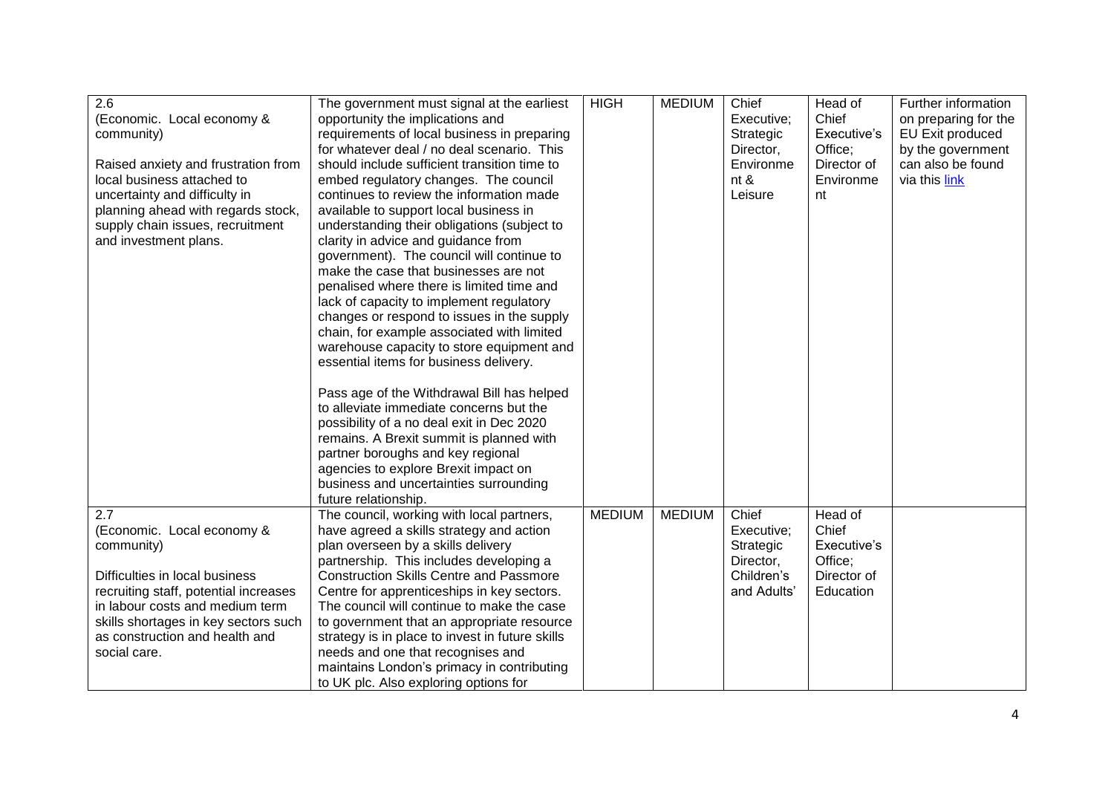| 2.6                                   | The government must signal at the earliest      | <b>HIGH</b>   | <b>MEDIUM</b> | Chief       | Head of     | Further information  |
|---------------------------------------|-------------------------------------------------|---------------|---------------|-------------|-------------|----------------------|
| (Economic. Local economy &            | opportunity the implications and                |               |               | Executive;  | Chief       | on preparing for the |
| community)                            | requirements of local business in preparing     |               |               | Strategic   | Executive's | EU Exit produced     |
|                                       | for whatever deal / no deal scenario. This      |               |               | Director,   | Office;     | by the government    |
| Raised anxiety and frustration from   | should include sufficient transition time to    |               |               | Environme   | Director of | can also be found    |
| local business attached to            | embed regulatory changes. The council           |               |               | nt $\&$     | Environme   | via this link        |
| uncertainty and difficulty in         | continues to review the information made        |               |               | Leisure     | nt          |                      |
| planning ahead with regards stock,    | available to support local business in          |               |               |             |             |                      |
| supply chain issues, recruitment      | understanding their obligations (subject to     |               |               |             |             |                      |
| and investment plans.                 | clarity in advice and guidance from             |               |               |             |             |                      |
|                                       |                                                 |               |               |             |             |                      |
|                                       | government). The council will continue to       |               |               |             |             |                      |
|                                       | make the case that businesses are not           |               |               |             |             |                      |
|                                       | penalised where there is limited time and       |               |               |             |             |                      |
|                                       | lack of capacity to implement regulatory        |               |               |             |             |                      |
|                                       | changes or respond to issues in the supply      |               |               |             |             |                      |
|                                       | chain, for example associated with limited      |               |               |             |             |                      |
|                                       | warehouse capacity to store equipment and       |               |               |             |             |                      |
|                                       | essential items for business delivery.          |               |               |             |             |                      |
|                                       |                                                 |               |               |             |             |                      |
|                                       | Pass age of the Withdrawal Bill has helped      |               |               |             |             |                      |
|                                       | to alleviate immediate concerns but the         |               |               |             |             |                      |
|                                       | possibility of a no deal exit in Dec 2020       |               |               |             |             |                      |
|                                       | remains. A Brexit summit is planned with        |               |               |             |             |                      |
|                                       | partner boroughs and key regional               |               |               |             |             |                      |
|                                       | agencies to explore Brexit impact on            |               |               |             |             |                      |
|                                       | business and uncertainties surrounding          |               |               |             |             |                      |
|                                       | future relationship.                            |               |               |             |             |                      |
| 2.7                                   | The council, working with local partners,       | <b>MEDIUM</b> | <b>MEDIUM</b> | Chief       | Head of     |                      |
| (Economic. Local economy &            | have agreed a skills strategy and action        |               |               | Executive;  | Chief       |                      |
| community)                            | plan overseen by a skills delivery              |               |               | Strategic   | Executive's |                      |
|                                       | partnership. This includes developing a         |               |               | Director,   | Office;     |                      |
| Difficulties in local business        | <b>Construction Skills Centre and Passmore</b>  |               |               | Children's  | Director of |                      |
| recruiting staff, potential increases | Centre for apprenticeships in key sectors.      |               |               | and Adults' | Education   |                      |
| in labour costs and medium term       | The council will continue to make the case      |               |               |             |             |                      |
| skills shortages in key sectors such  | to government that an appropriate resource      |               |               |             |             |                      |
| as construction and health and        | strategy is in place to invest in future skills |               |               |             |             |                      |
| social care.                          | needs and one that recognises and               |               |               |             |             |                      |
|                                       | maintains London's primacy in contributing      |               |               |             |             |                      |
|                                       | to UK plc. Also exploring options for           |               |               |             |             |                      |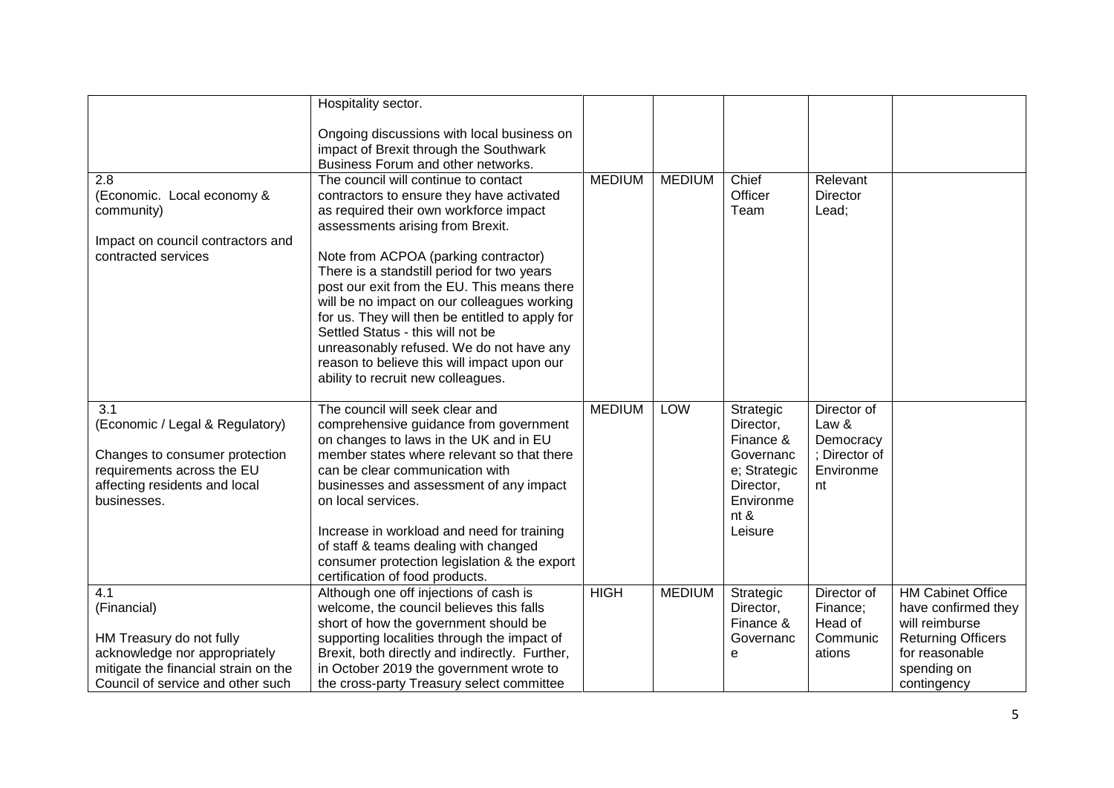|                                                                                                                                                              | Hospitality sector.                                                                                                                                                                                                                                                                                                                                                                                                                             |               |               |                                                                                                               |                                                                       |                                                                                                                                                |
|--------------------------------------------------------------------------------------------------------------------------------------------------------------|-------------------------------------------------------------------------------------------------------------------------------------------------------------------------------------------------------------------------------------------------------------------------------------------------------------------------------------------------------------------------------------------------------------------------------------------------|---------------|---------------|---------------------------------------------------------------------------------------------------------------|-----------------------------------------------------------------------|------------------------------------------------------------------------------------------------------------------------------------------------|
|                                                                                                                                                              | Ongoing discussions with local business on<br>impact of Brexit through the Southwark<br>Business Forum and other networks.                                                                                                                                                                                                                                                                                                                      |               |               |                                                                                                               |                                                                       |                                                                                                                                                |
| 2.8<br>(Economic. Local economy &<br>community)<br>Impact on council contractors and                                                                         | The council will continue to contact<br>contractors to ensure they have activated<br>as required their own workforce impact<br>assessments arising from Brexit.                                                                                                                                                                                                                                                                                 | <b>MEDIUM</b> | <b>MEDIUM</b> | Chief<br>Officer<br>Team                                                                                      | Relevant<br><b>Director</b><br>Lead;                                  |                                                                                                                                                |
| contracted services                                                                                                                                          | Note from ACPOA (parking contractor)<br>There is a standstill period for two years<br>post our exit from the EU. This means there<br>will be no impact on our colleagues working<br>for us. They will then be entitled to apply for<br>Settled Status - this will not be<br>unreasonably refused. We do not have any<br>reason to believe this will impact upon our<br>ability to recruit new colleagues.                                       |               |               |                                                                                                               |                                                                       |                                                                                                                                                |
| 3.1<br>(Economic / Legal & Regulatory)<br>Changes to consumer protection<br>requirements across the EU<br>affecting residents and local<br>businesses.       | The council will seek clear and<br>comprehensive guidance from government<br>on changes to laws in the UK and in EU<br>member states where relevant so that there<br>can be clear communication with<br>businesses and assessment of any impact<br>on local services.<br>Increase in workload and need for training<br>of staff & teams dealing with changed<br>consumer protection legislation & the export<br>certification of food products. | <b>MEDIUM</b> | LOW           | Strategic<br>Director,<br>Finance &<br>Governanc<br>e; Strategic<br>Director,<br>Environme<br>nt &<br>Leisure | Director of<br>Law &<br>Democracy<br>: Director of<br>Environme<br>nt |                                                                                                                                                |
| 4.1<br>(Financial)<br>HM Treasury do not fully<br>acknowledge nor appropriately<br>mitigate the financial strain on the<br>Council of service and other such | Although one off injections of cash is<br>welcome, the council believes this falls<br>short of how the government should be<br>supporting localities through the impact of<br>Brexit, both directly and indirectly. Further,<br>in October 2019 the government wrote to<br>the cross-party Treasury select committee                                                                                                                            | <b>HIGH</b>   | <b>MEDIUM</b> | Strategic<br>Director,<br>Finance &<br>Governanc<br>е                                                         | Director of<br>Finance;<br>Head of<br>Communic<br>ations              | <b>HM Cabinet Office</b><br>have confirmed they<br>will reimburse<br><b>Returning Officers</b><br>for reasonable<br>spending on<br>contingency |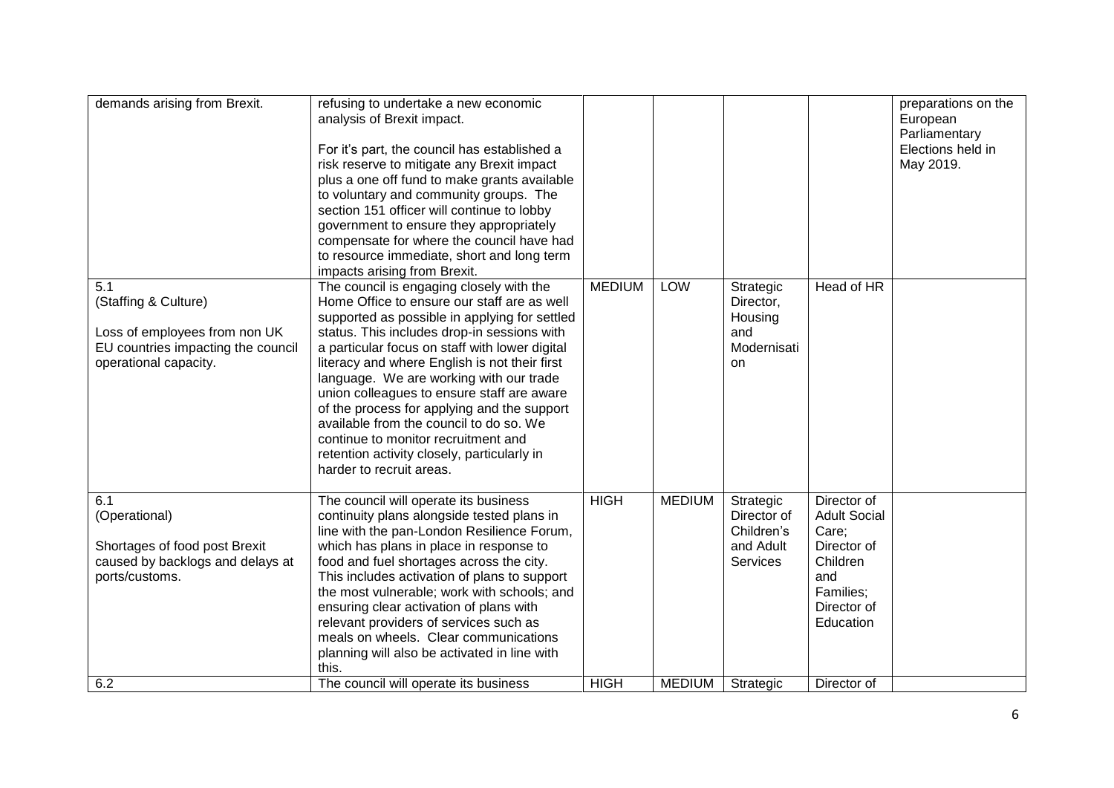|                                                                                                                             | compensate for where the council have had<br>to resource immediate, short and long term<br>impacts arising from Brexit.                                                                                                                                                                                                                                                                                                                                                                                                                                                                         |                            |                                |                                                                              |                                                                                                                                       |  |
|-----------------------------------------------------------------------------------------------------------------------------|-------------------------------------------------------------------------------------------------------------------------------------------------------------------------------------------------------------------------------------------------------------------------------------------------------------------------------------------------------------------------------------------------------------------------------------------------------------------------------------------------------------------------------------------------------------------------------------------------|----------------------------|--------------------------------|------------------------------------------------------------------------------|---------------------------------------------------------------------------------------------------------------------------------------|--|
| 5.1<br>(Staffing & Culture)<br>Loss of employees from non UK<br>EU countries impacting the council<br>operational capacity. | The council is engaging closely with the<br>Home Office to ensure our staff are as well<br>supported as possible in applying for settled<br>status. This includes drop-in sessions with<br>a particular focus on staff with lower digital<br>literacy and where English is not their first<br>language. We are working with our trade<br>union colleagues to ensure staff are aware<br>of the process for applying and the support<br>available from the council to do so. We<br>continue to monitor recruitment and<br>retention activity closely, particularly in<br>harder to recruit areas. | <b>MEDIUM</b>              | LOW                            | Strategic<br>Director,<br>Housing<br>and<br>Modernisati<br>on                | Head of HR                                                                                                                            |  |
| 6.1<br>(Operational)<br>Shortages of food post Brexit<br>caused by backlogs and delays at<br>ports/customs.<br>6.2          | The council will operate its business<br>continuity plans alongside tested plans in<br>line with the pan-London Resilience Forum,<br>which has plans in place in response to<br>food and fuel shortages across the city.<br>This includes activation of plans to support<br>the most vulnerable; work with schools; and<br>ensuring clear activation of plans with<br>relevant providers of services such as<br>meals on wheels. Clear communications<br>planning will also be activated in line with<br>this.<br>The council will operate its business                                         | <b>HIGH</b><br><b>HIGH</b> | <b>MEDIUM</b><br><b>MEDIUM</b> | Strategic<br>Director of<br>Children's<br>and Adult<br>Services<br>Strategic | Director of<br><b>Adult Social</b><br>Care;<br>Director of<br>Children<br>and<br>Families;<br>Director of<br>Education<br>Director of |  |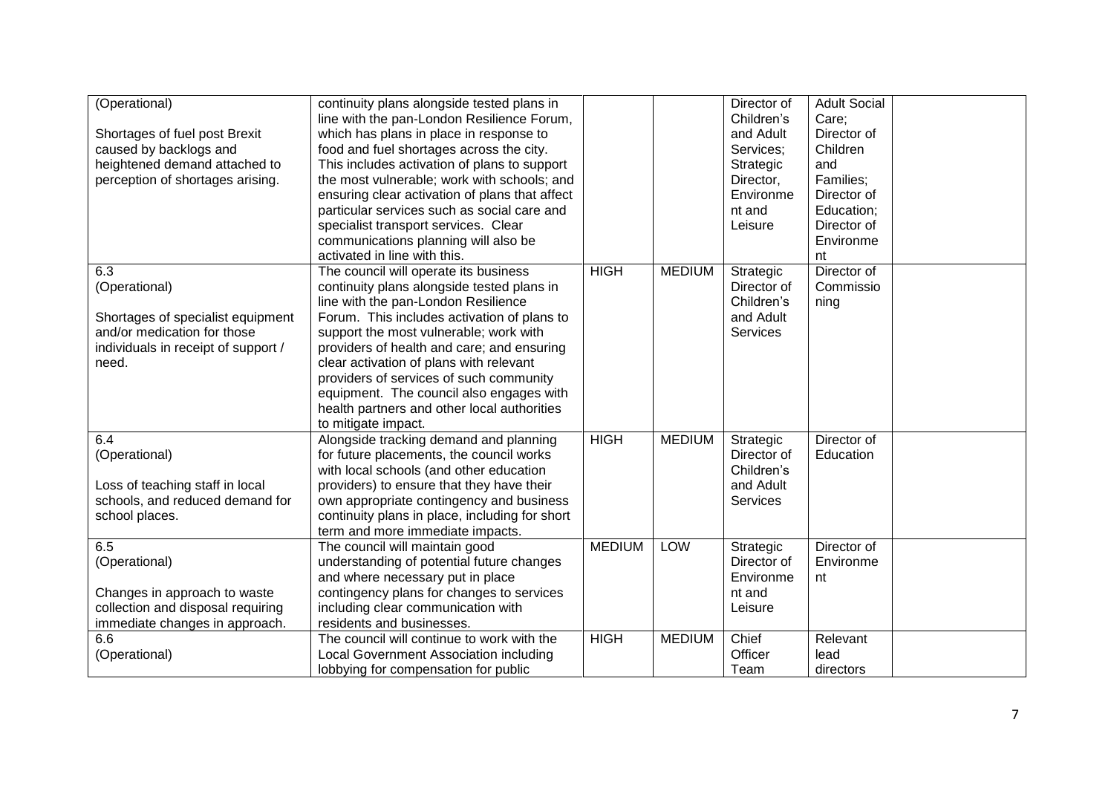| (Operational)                       | continuity plans alongside tested plans in     |               |               | Director of            | <b>Adult Social</b> |  |
|-------------------------------------|------------------------------------------------|---------------|---------------|------------------------|---------------------|--|
|                                     | line with the pan-London Resilience Forum,     |               |               | Children's             | Care;               |  |
| Shortages of fuel post Brexit       | which has plans in place in response to        |               |               | and Adult              | Director of         |  |
| caused by backlogs and              | food and fuel shortages across the city.       |               |               | Services;              | Children            |  |
| heightened demand attached to       | This includes activation of plans to support   |               |               |                        | and                 |  |
| perception of shortages arising.    | the most vulnerable; work with schools; and    |               |               | Strategic<br>Director, | Families;           |  |
|                                     |                                                |               |               |                        |                     |  |
|                                     | ensuring clear activation of plans that affect |               |               | Environme              | Director of         |  |
|                                     | particular services such as social care and    |               |               | nt and                 | Education;          |  |
|                                     | specialist transport services. Clear           |               |               | Leisure                | Director of         |  |
|                                     | communications planning will also be           |               |               |                        | Environme           |  |
|                                     | activated in line with this.                   |               |               |                        | nt                  |  |
| 6.3                                 | The council will operate its business          | <b>HIGH</b>   | <b>MEDIUM</b> | Strategic              | Director of         |  |
| (Operational)                       | continuity plans alongside tested plans in     |               |               | Director of            | Commissio           |  |
|                                     | line with the pan-London Resilience            |               |               | Children's             | ning                |  |
| Shortages of specialist equipment   | Forum. This includes activation of plans to    |               |               | and Adult              |                     |  |
| and/or medication for those         | support the most vulnerable; work with         |               |               | <b>Services</b>        |                     |  |
| individuals in receipt of support / | providers of health and care; and ensuring     |               |               |                        |                     |  |
| need.                               | clear activation of plans with relevant        |               |               |                        |                     |  |
|                                     | providers of services of such community        |               |               |                        |                     |  |
|                                     | equipment. The council also engages with       |               |               |                        |                     |  |
|                                     | health partners and other local authorities    |               |               |                        |                     |  |
|                                     | to mitigate impact.                            |               |               |                        |                     |  |
| 6.4                                 | Alongside tracking demand and planning         | <b>HIGH</b>   | <b>MEDIUM</b> | Strategic              | Director of         |  |
| (Operational)                       | for future placements, the council works       |               |               | Director of            | Education           |  |
|                                     | with local schools (and other education        |               |               | Children's             |                     |  |
| Loss of teaching staff in local     | providers) to ensure that they have their      |               |               | and Adult              |                     |  |
| schools, and reduced demand for     | own appropriate contingency and business       |               |               | <b>Services</b>        |                     |  |
| school places.                      | continuity plans in place, including for short |               |               |                        |                     |  |
|                                     | term and more immediate impacts.               |               |               |                        |                     |  |
| 6.5                                 | The council will maintain good                 | <b>MEDIUM</b> | LOW           | Strategic              | Director of         |  |
| (Operational)                       | understanding of potential future changes      |               |               | Director of            | Environme           |  |
|                                     | and where necessary put in place               |               |               | Environme              | nt                  |  |
| Changes in approach to waste        | contingency plans for changes to services      |               |               | nt and                 |                     |  |
| collection and disposal requiring   | including clear communication with             |               |               | Leisure                |                     |  |
| immediate changes in approach.      | residents and businesses.                      |               |               |                        |                     |  |
| $6.\overline{6}$                    | The council will continue to work with the     | HIGH          | <b>MEDIUM</b> | Chief                  | Relevant            |  |
|                                     | Local Government Association including         |               |               | Officer                | lead                |  |
| (Operational)                       |                                                |               |               |                        |                     |  |
|                                     | lobbying for compensation for public           |               |               | Team                   | directors           |  |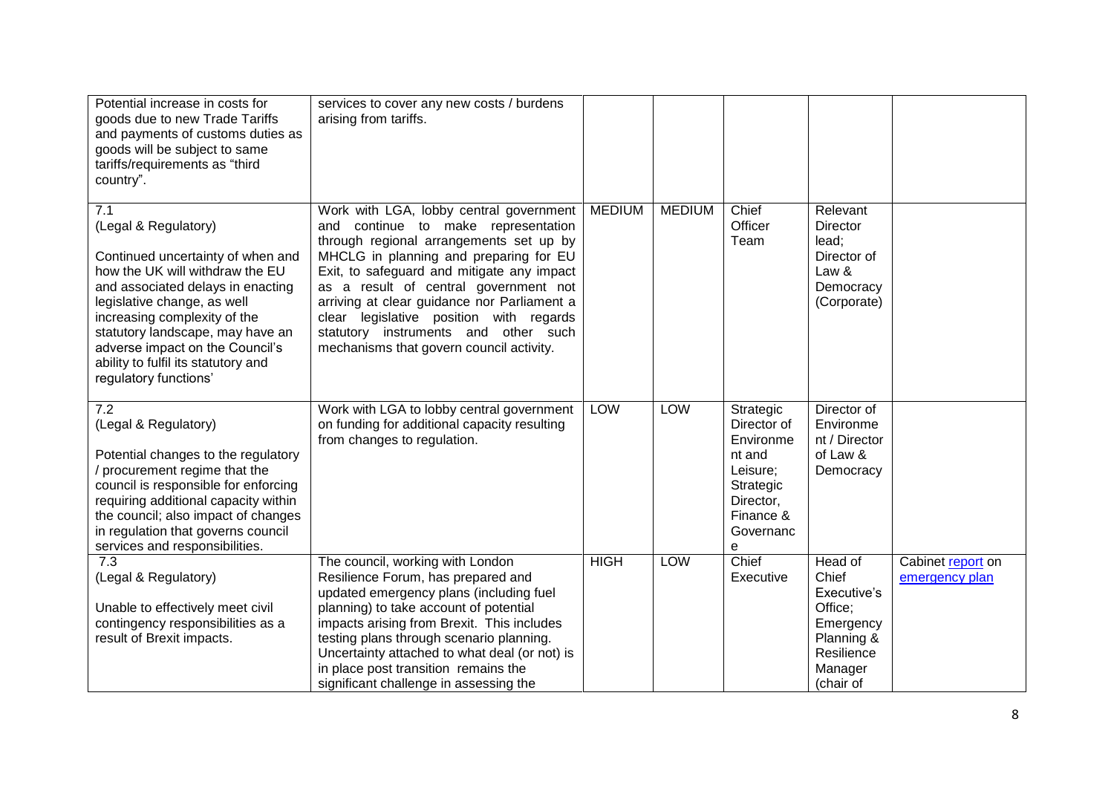| Potential increase in costs for<br>goods due to new Trade Tariffs<br>and payments of customs duties as<br>goods will be subject to same<br>tariffs/requirements as "third<br>country".                                                                                                                                                         | services to cover any new costs / burdens<br>arising from tariffs.                                                                                                                                                                                                                                                                                                                                                                       |               |               |                                                                                                                      |                                                                                                             |                                     |
|------------------------------------------------------------------------------------------------------------------------------------------------------------------------------------------------------------------------------------------------------------------------------------------------------------------------------------------------|------------------------------------------------------------------------------------------------------------------------------------------------------------------------------------------------------------------------------------------------------------------------------------------------------------------------------------------------------------------------------------------------------------------------------------------|---------------|---------------|----------------------------------------------------------------------------------------------------------------------|-------------------------------------------------------------------------------------------------------------|-------------------------------------|
| 7.1<br>(Legal & Regulatory)<br>Continued uncertainty of when and<br>how the UK will withdraw the EU<br>and associated delays in enacting<br>legislative change, as well<br>increasing complexity of the<br>statutory landscape, may have an<br>adverse impact on the Council's<br>ability to fulfil its statutory and<br>regulatory functions' | Work with LGA, lobby central government<br>and continue to make representation<br>through regional arrangements set up by<br>MHCLG in planning and preparing for EU<br>Exit, to safeguard and mitigate any impact<br>as a result of central government not<br>arriving at clear guidance nor Parliament a<br>clear legislative position with regards<br>statutory instruments and other such<br>mechanisms that govern council activity. | <b>MEDIUM</b> | <b>MEDIUM</b> | Chief<br>Officer<br>Team                                                                                             | Relevant<br>Director<br>lead;<br>Director of<br>Law &<br>Democracy<br>(Corporate)                           |                                     |
| 7.2<br>(Legal & Regulatory)<br>Potential changes to the regulatory<br>/ procurement regime that the<br>council is responsible for enforcing<br>requiring additional capacity within<br>the council; also impact of changes<br>in regulation that governs council<br>services and responsibilities.                                             | Work with LGA to lobby central government<br>on funding for additional capacity resulting<br>from changes to regulation.                                                                                                                                                                                                                                                                                                                 | <b>LOW</b>    | LOW           | Strategic<br>Director of<br>Environme<br>nt and<br>Leisure;<br>Strategic<br>Director,<br>Finance &<br>Governanc<br>e | Director of<br>Environme<br>nt / Director<br>of Law &<br>Democracy                                          |                                     |
| 7.3<br>(Legal & Regulatory)<br>Unable to effectively meet civil<br>contingency responsibilities as a<br>result of Brexit impacts.                                                                                                                                                                                                              | The council, working with London<br>Resilience Forum, has prepared and<br>updated emergency plans (including fuel<br>planning) to take account of potential<br>impacts arising from Brexit. This includes<br>testing plans through scenario planning.<br>Uncertainty attached to what deal (or not) is<br>in place post transition remains the<br>significant challenge in assessing the                                                 | <b>HIGH</b>   | LOW           | Chief<br>Executive                                                                                                   | Head of<br>Chief<br>Executive's<br>Office:<br>Emergency<br>Planning &<br>Resilience<br>Manager<br>(chair of | Cabinet report on<br>emergency plan |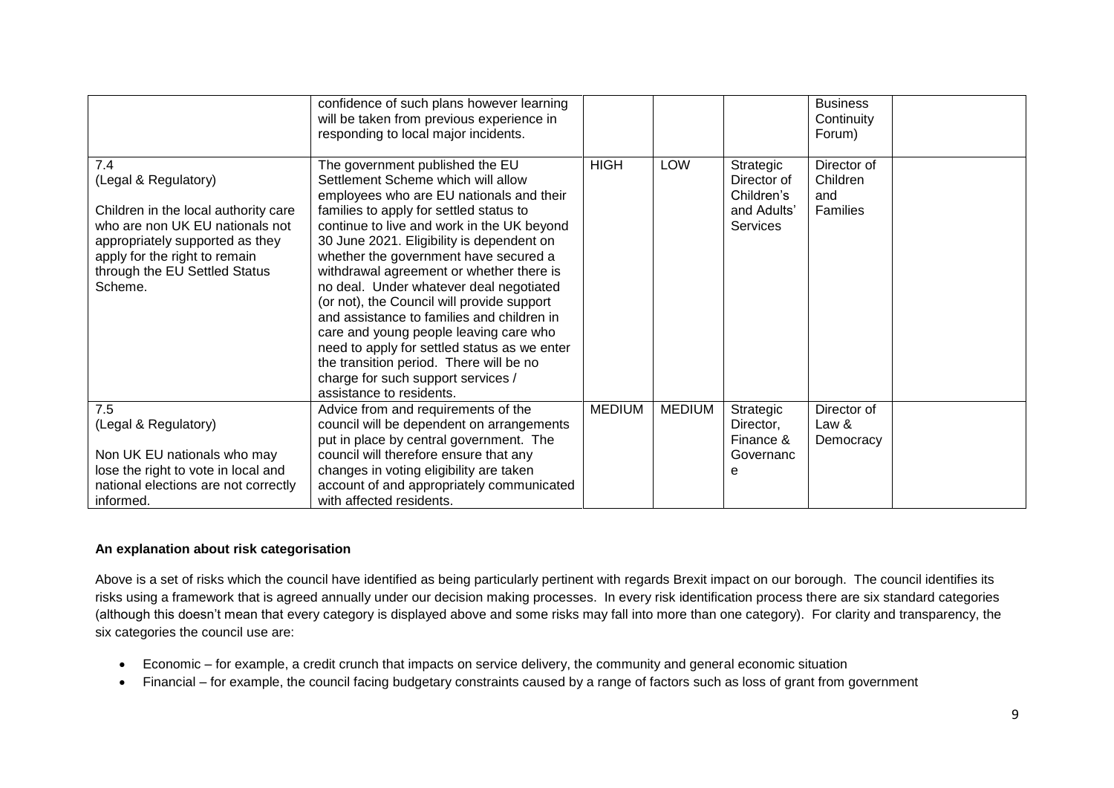|                                                                                                                                                                                                                        | confidence of such plans however learning<br>will be taken from previous experience in<br>responding to local major incidents.                                                                                                                                                                                                                                                                                                                                                                                                                                                                                                                                                             |               |               |                                                                   | <b>Business</b><br>Continuity<br>Forum)    |  |
|------------------------------------------------------------------------------------------------------------------------------------------------------------------------------------------------------------------------|--------------------------------------------------------------------------------------------------------------------------------------------------------------------------------------------------------------------------------------------------------------------------------------------------------------------------------------------------------------------------------------------------------------------------------------------------------------------------------------------------------------------------------------------------------------------------------------------------------------------------------------------------------------------------------------------|---------------|---------------|-------------------------------------------------------------------|--------------------------------------------|--|
| 7.4<br>(Legal & Regulatory)<br>Children in the local authority care<br>who are non UK EU nationals not<br>appropriately supported as they<br>apply for the right to remain<br>through the EU Settled Status<br>Scheme. | The government published the EU<br>Settlement Scheme which will allow<br>employees who are EU nationals and their<br>families to apply for settled status to<br>continue to live and work in the UK beyond<br>30 June 2021. Eligibility is dependent on<br>whether the government have secured a<br>withdrawal agreement or whether there is<br>no deal. Under whatever deal negotiated<br>(or not), the Council will provide support<br>and assistance to families and children in<br>care and young people leaving care who<br>need to apply for settled status as we enter<br>the transition period. There will be no<br>charge for such support services /<br>assistance to residents. | <b>HIGH</b>   | LOW           | Strategic<br>Director of<br>Children's<br>and Adults'<br>Services | Director of<br>Children<br>and<br>Families |  |
| 7.5<br>(Legal & Regulatory)<br>Non UK EU nationals who may<br>lose the right to vote in local and<br>national elections are not correctly<br>informed.                                                                 | Advice from and requirements of the<br>council will be dependent on arrangements<br>put in place by central government. The<br>council will therefore ensure that any<br>changes in voting eligibility are taken<br>account of and appropriately communicated<br>with affected residents.                                                                                                                                                                                                                                                                                                                                                                                                  | <b>MEDIUM</b> | <b>MEDIUM</b> | Strategic<br>Director,<br>Finance &<br>Governanc<br>е             | Director of<br>Law &<br>Democracy          |  |

## **An explanation about risk categorisation**

Above is a set of risks which the council have identified as being particularly pertinent with regards Brexit impact on our borough. The council identifies its risks using a framework that is agreed annually under our decision making processes. In every risk identification process there are six standard categories (although this doesn't mean that every category is displayed above and some risks may fall into more than one category). For clarity and transparency, the six categories the council use are:

- Economic for example, a credit crunch that impacts on service delivery, the community and general economic situation
- Financial for example, the council facing budgetary constraints caused by a range of factors such as loss of grant from government